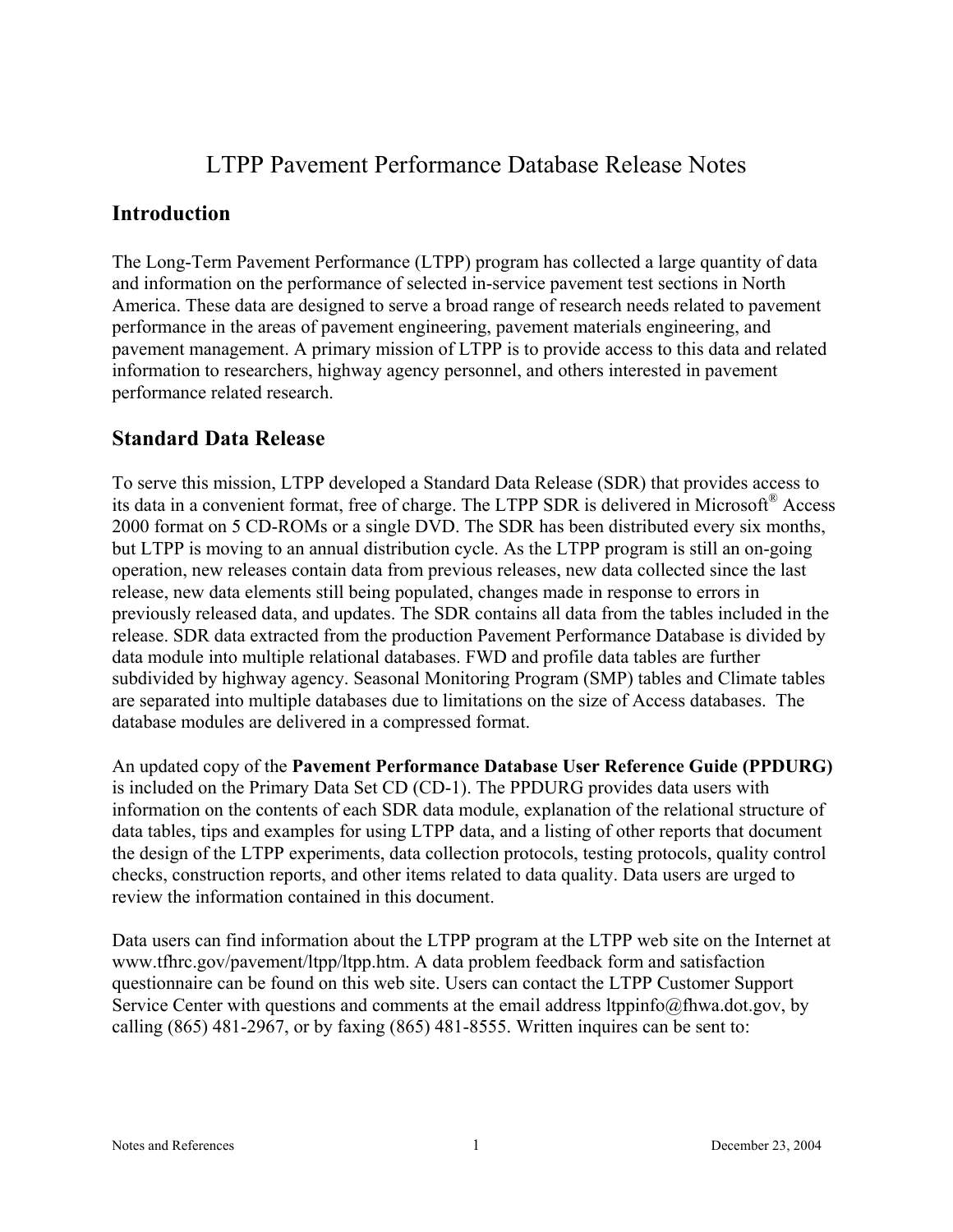# LTPP Pavement Performance Database Release Notes

## **Introduction**

The Long-Term Pavement Performance (LTPP) program has collected a large quantity of data and information on the performance of selected in-service pavement test sections in North America. These data are designed to serve a broad range of research needs related to pavement performance in the areas of pavement engineering, pavement materials engineering, and pavement management. A primary mission of LTPP is to provide access to this data and related information to researchers, highway agency personnel, and others interested in pavement performance related research.

## **Standard Data Release**

To serve this mission, LTPP developed a Standard Data Release (SDR) that provides access to its data in a convenient format, free of charge. The LTPP SDR is delivered in Microsoft® Access 2000 format on 5 CD-ROMs or a single DVD. The SDR has been distributed every six months, but LTPP is moving to an annual distribution cycle. As the LTPP program is still an on-going operation, new releases contain data from previous releases, new data collected since the last release, new data elements still being populated, changes made in response to errors in previously released data, and updates. The SDR contains all data from the tables included in the release. SDR data extracted from the production Pavement Performance Database is divided by data module into multiple relational databases. FWD and profile data tables are further subdivided by highway agency. Seasonal Monitoring Program (SMP) tables and Climate tables are separated into multiple databases due to limitations on the size of Access databases. The database modules are delivered in a compressed format.

An updated copy of the **Pavement Performance Database User Reference Guide (PPDURG)**  is included on the Primary Data Set CD (CD-1). The PPDURG provides data users with information on the contents of each SDR data module, explanation of the relational structure of data tables, tips and examples for using LTPP data, and a listing of other reports that document the design of the LTPP experiments, data collection protocols, testing protocols, quality control checks, construction reports, and other items related to data quality. Data users are urged to review the information contained in this document.

Data users can find information about the LTPP program at the LTPP web site on the Internet at www.tfhrc.gov/pavement/ltpp/ltpp.htm. A data problem feedback form and satisfaction questionnaire can be found on this web site. Users can contact the LTPP Customer Support Service Center with questions and comments at the email address ltppinfo@fhwa.dot.gov, by calling (865) 481-2967, or by faxing (865) 481-8555. Written inquires can be sent to: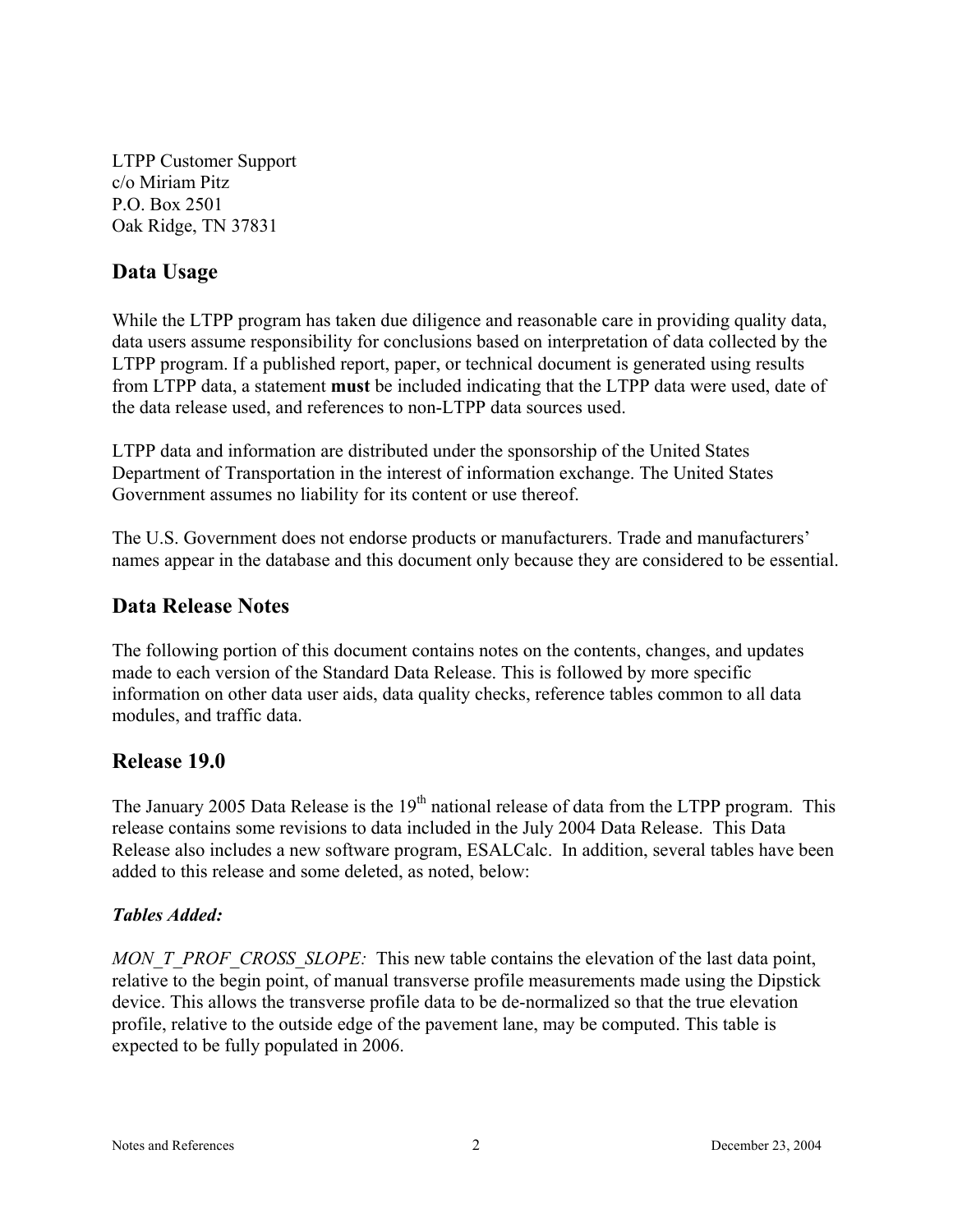LTPP Customer Support c/o Miriam Pitz P.O. Box 2501 Oak Ridge, TN 37831

## **Data Usage**

While the LTPP program has taken due diligence and reasonable care in providing quality data, data users assume responsibility for conclusions based on interpretation of data collected by the LTPP program. If a published report, paper, or technical document is generated using results from LTPP data, a statement **must** be included indicating that the LTPP data were used, date of the data release used, and references to non-LTPP data sources used.

LTPP data and information are distributed under the sponsorship of the United States Department of Transportation in the interest of information exchange. The United States Government assumes no liability for its content or use thereof.

The U.S. Government does not endorse products or manufacturers. Trade and manufacturers' names appear in the database and this document only because they are considered to be essential.

## **Data Release Notes**

The following portion of this document contains notes on the contents, changes, and updates made to each version of the Standard Data Release. This is followed by more specific information on other data user aids, data quality checks, reference tables common to all data modules, and traffic data.

## **Release 19.0**

The January 2005 Data Release is the  $19<sup>th</sup>$  national release of data from the LTPP program. This release contains some revisions to data included in the July 2004 Data Release. This Data Release also includes a new software program, ESALCalc. In addition, several tables have been added to this release and some deleted, as noted, below:

#### *Tables Added:*

*MON\_T\_PROF\_CROSS\_SLOPE:* This new table contains the elevation of the last data point, relative to the begin point, of manual transverse profile measurements made using the Dipstick device. This allows the transverse profile data to be de-normalized so that the true elevation profile, relative to the outside edge of the pavement lane, may be computed. This table is expected to be fully populated in 2006.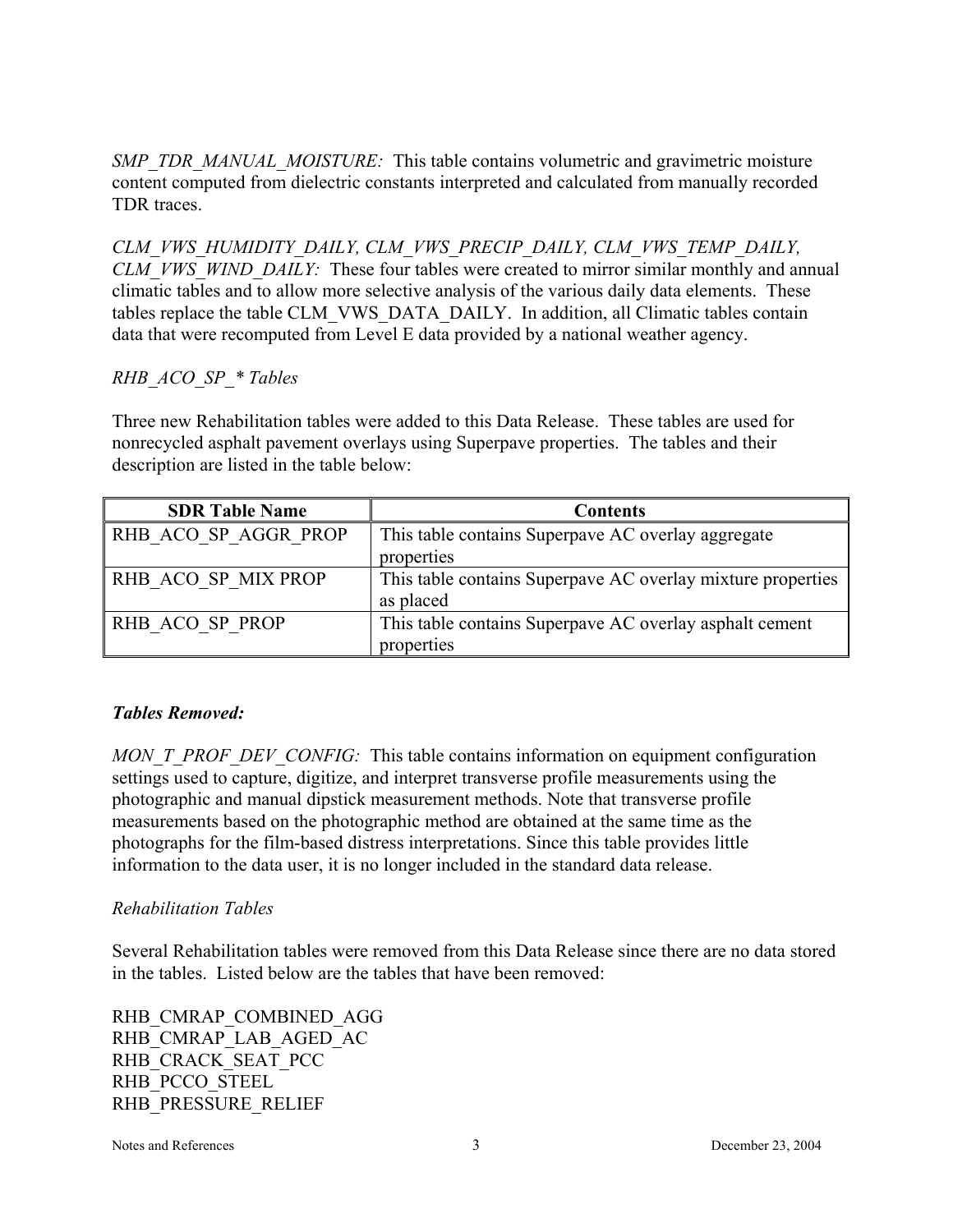*SMP\_TDR\_MANUAL\_MOISTURE:* This table contains volumetric and gravimetric moisture content computed from dielectric constants interpreted and calculated from manually recorded TDR traces.

*CLM\_VWS\_HUMIDITY\_DAILY, CLM\_VWS\_PRECIP\_DAILY, CLM\_VWS\_TEMP\_DAILY, CLM\_VWS\_WIND\_DAILY:* These four tables were created to mirror similar monthly and annual climatic tables and to allow more selective analysis of the various daily data elements. These tables replace the table CLM\_VWS\_DATA\_DAILY. In addition, all Climatic tables contain data that were recomputed from Level E data provided by a national weather agency.

#### *RHB\_ACO\_SP\_\* Tables*

Three new Rehabilitation tables were added to this Data Release. These tables are used for nonrecycled asphalt pavement overlays using Superpave properties. The tables and their description are listed in the table below:

| <b>SDR Table Name</b> | <b>Contents</b>                                             |
|-----------------------|-------------------------------------------------------------|
| RHB ACO SP AGGR PROP  | This table contains Superpave AC overlay aggregate          |
|                       | properties                                                  |
| RHB ACO SP MIX PROP   | This table contains Superpave AC overlay mixture properties |
|                       | as placed                                                   |
| RHB ACO SP PROP       | This table contains Superpave AC overlay asphalt cement     |
|                       | properties                                                  |

#### *Tables Removed:*

*MON\_T\_PROF\_DEV\_CONFIG:* This table contains information on equipment configuration settings used to capture, digitize, and interpret transverse profile measurements using the photographic and manual dipstick measurement methods. Note that transverse profile measurements based on the photographic method are obtained at the same time as the photographs for the film-based distress interpretations. Since this table provides little information to the data user, it is no longer included in the standard data release.

#### *Rehabilitation Tables*

Several Rehabilitation tables were removed from this Data Release since there are no data stored in the tables. Listed below are the tables that have been removed:

RHB\_CMRAP\_COMBINED\_AGG RHB\_CMRAP\_LAB\_AGED\_AC RHB\_CRACK\_SEAT\_PCC RHB\_PCCO\_STEEL RHB\_PRESSURE\_RELIEF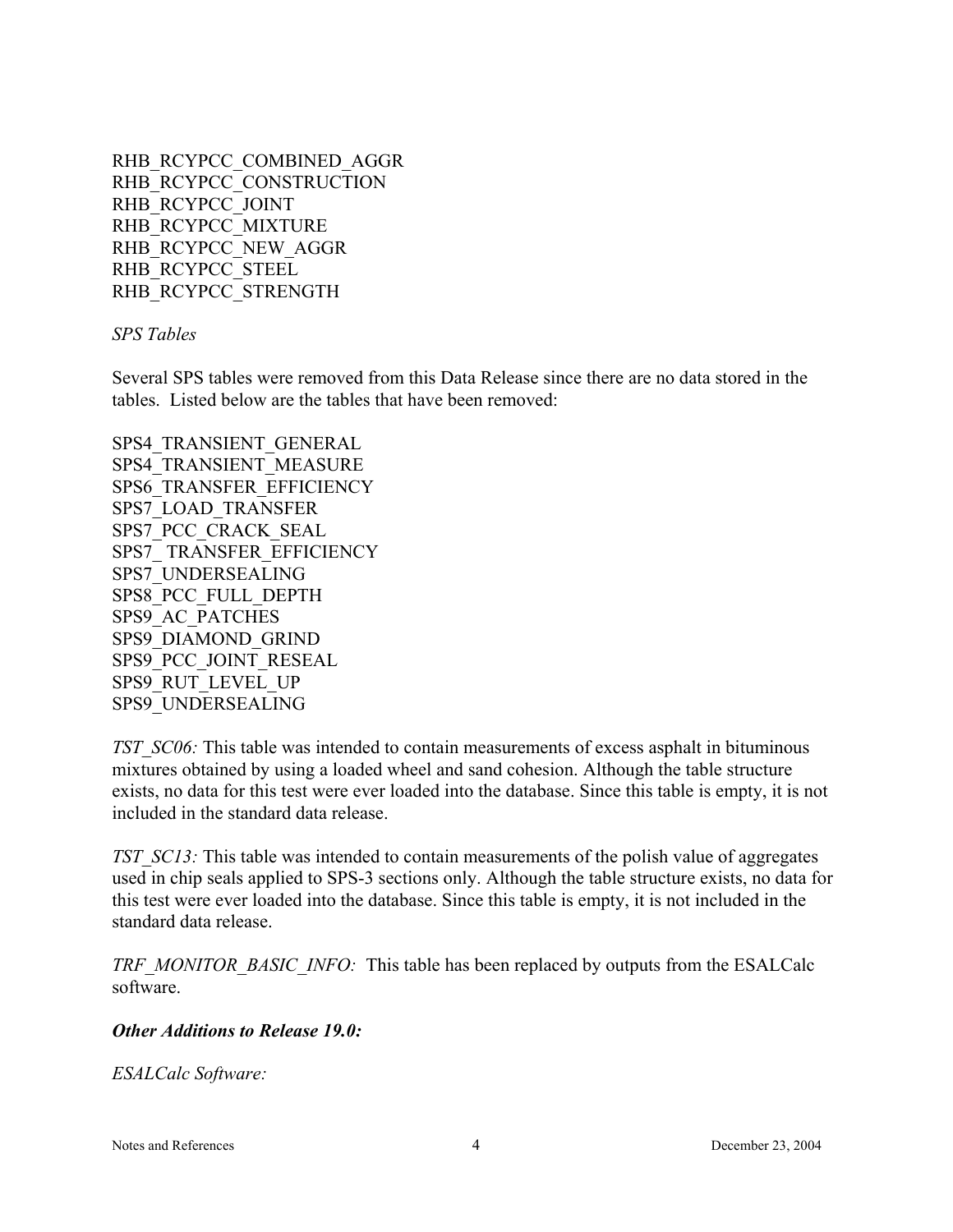RHB\_RCYPCC\_COMBINED\_AGGR RHB\_RCYPCC\_CONSTRUCTION RHB\_RCYPCC\_JOINT RHB\_RCYPCC\_MIXTURE RHB\_RCYPCC\_NEW\_AGGR RHB\_RCYPCC\_STEEL RHB\_RCYPCC\_STRENGTH

*SPS Tables*

Several SPS tables were removed from this Data Release since there are no data stored in the tables. Listed below are the tables that have been removed:

SPS4\_TRANSIENT\_GENERAL SPS4\_TRANSIENT\_MEASURE SPS6\_TRANSFER\_EFFICIENCY SPS7\_LOAD\_TRANSFER SPS7\_PCC\_CRACK\_SEAL SPS7\_ TRANSFER\_EFFICIENCY SPS7\_UNDERSEALING SPS8\_PCC\_FULL\_DEPTH SPS9\_AC\_PATCHES SPS9\_DIAMOND\_GRIND SPS9\_PCC\_JOINT\_RESEAL SPS9\_RUT\_LEVEL\_UP SPS9\_UNDERSEALING

*TST\_SC06:* This table was intended to contain measurements of excess asphalt in bituminous mixtures obtained by using a loaded wheel and sand cohesion. Although the table structure exists, no data for this test were ever loaded into the database. Since this table is empty, it is not included in the standard data release.

*TST\_SC13:* This table was intended to contain measurements of the polish value of aggregates used in chip seals applied to SPS-3 sections only. Although the table structure exists, no data for this test were ever loaded into the database. Since this table is empty, it is not included in the standard data release.

*TRF\_MONITOR\_BASIC\_INFO:* This table has been replaced by outputs from the ESALCalc software.

#### *Other Additions to Release 19.0:*

*ESALCalc Software:*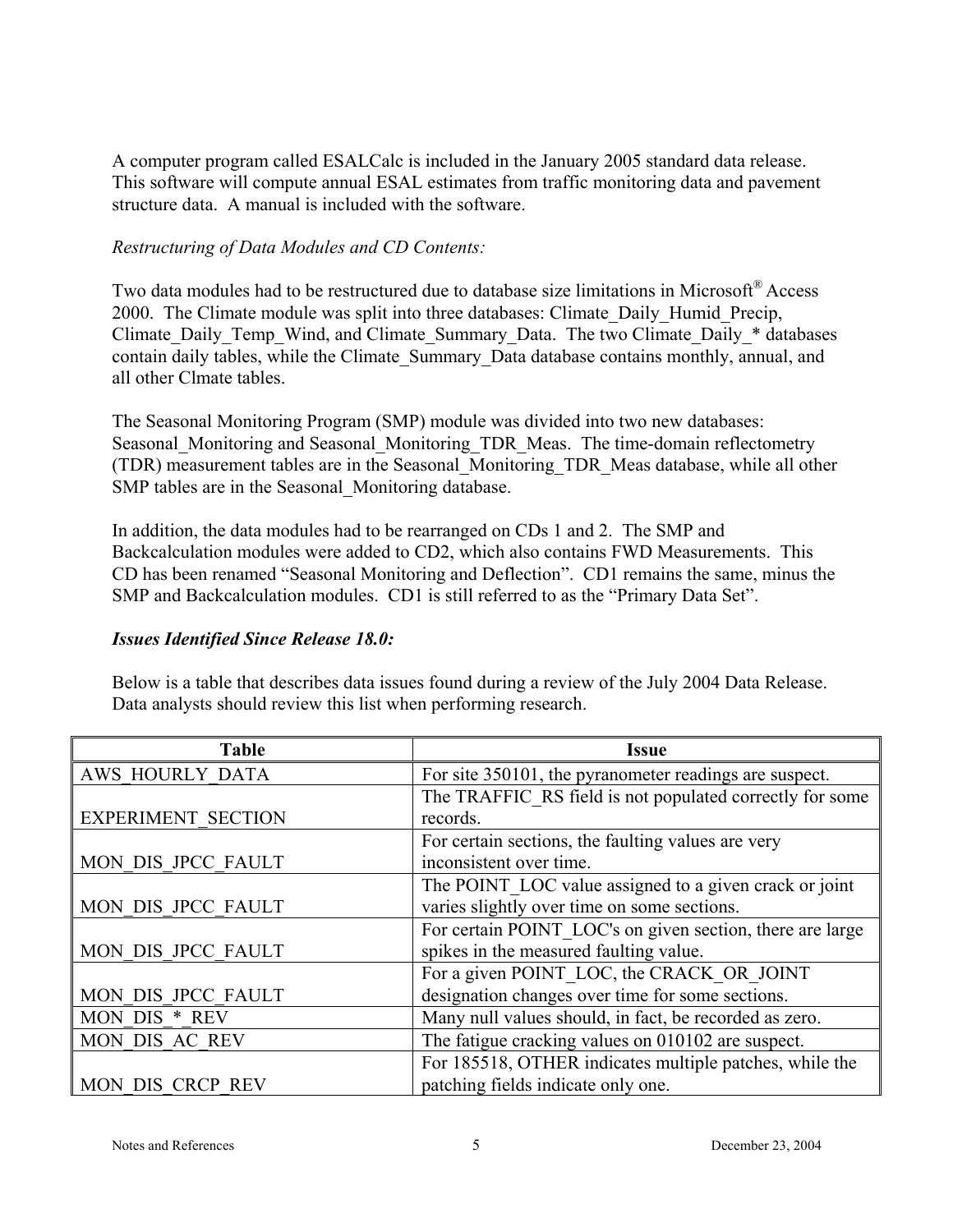A computer program called ESALCalc is included in the January 2005 standard data release. This software will compute annual ESAL estimates from traffic monitoring data and pavement structure data. A manual is included with the software.

#### *Restructuring of Data Modules and CD Contents:*

Two data modules had to be restructured due to database size limitations in Microsoft® Access 2000. The Climate module was split into three databases: Climate\_Daily\_Humid\_Precip, Climate Daily Temp\_Wind, and Climate Summary Data. The two Climate Daily \* databases contain daily tables, while the Climate\_Summary\_Data database contains monthly, annual, and all other Clmate tables.

The Seasonal Monitoring Program (SMP) module was divided into two new databases: Seasonal Monitoring and Seasonal Monitoring TDR Meas. The time-domain reflectometry (TDR) measurement tables are in the Seasonal\_Monitoring\_TDR\_Meas database, while all other SMP tables are in the Seasonal\_Monitoring database.

In addition, the data modules had to be rearranged on CDs 1 and 2. The SMP and Backcalculation modules were added to CD2, which also contains FWD Measurements. This CD has been renamed "Seasonal Monitoring and Deflection". CD1 remains the same, minus the SMP and Backcalculation modules. CD1 is still referred to as the "Primary Data Set".

#### *Issues Identified Since Release 18.0:*

Below is a table that describes data issues found during a review of the July 2004 Data Release. Data analysts should review this list when performing research.

| <b>Table</b>              | <b>Issue</b>                                              |
|---------------------------|-----------------------------------------------------------|
| AWS HOURLY DATA           | For site 350101, the pyranometer readings are suspect.    |
|                           | The TRAFFIC RS field is not populated correctly for some  |
| <b>EXPERIMENT SECTION</b> | records.                                                  |
|                           | For certain sections, the faulting values are very        |
| MON DIS JPCC FAULT        | inconsistent over time.                                   |
|                           | The POINT_LOC value assigned to a given crack or joint    |
| MON DIS JPCC FAULT        | varies slightly over time on some sections.               |
|                           | For certain POINT LOC's on given section, there are large |
| MON DIS JPCC FAULT        | spikes in the measured faulting value.                    |
|                           | For a given POINT_LOC, the CRACK OR JOINT                 |
| MON DIS JPCC FAULT        | designation changes over time for some sections.          |
| MON DIS * REV             | Many null values should, in fact, be recorded as zero.    |
| MON DIS AC REV            | The fatigue cracking values on 010102 are suspect.        |
|                           | For 185518, OTHER indicates multiple patches, while the   |
| MON DIS CRCP REV          | patching fields indicate only one.                        |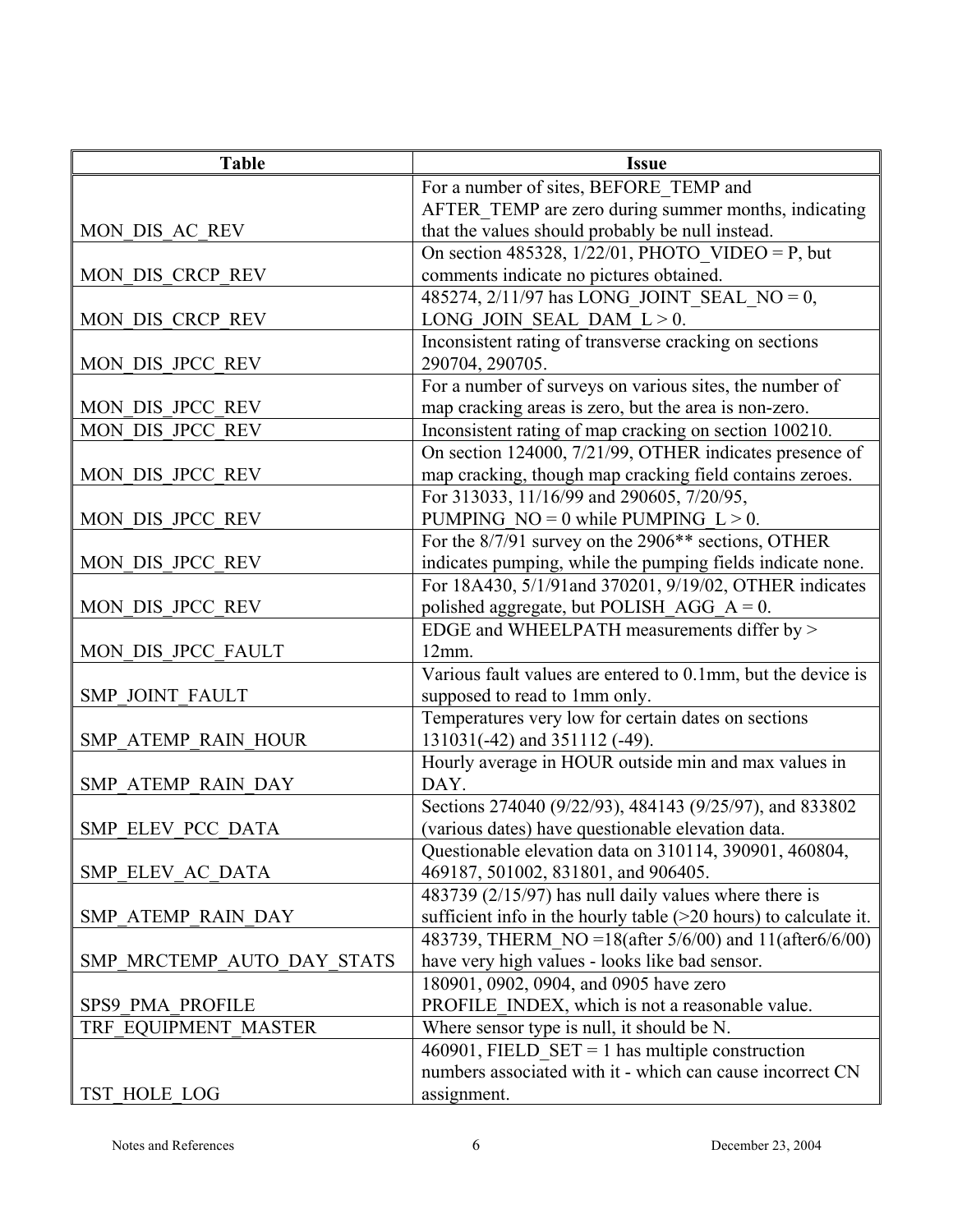| <b>Table</b>               | <b>Issue</b>                                                       |
|----------------------------|--------------------------------------------------------------------|
|                            | For a number of sites, BEFORE TEMP and                             |
|                            | AFTER TEMP are zero during summer months, indicating               |
| MON DIS AC REV             | that the values should probably be null instead.                   |
|                            | On section 485328, $1/22/01$ , PHOTO_VIDEO = P, but                |
| MON DIS CRCP REV           | comments indicate no pictures obtained.                            |
|                            | 485274, 2/11/97 has LONG_JOINT_SEAL_NO = 0,                        |
| MON DIS CRCP REV           | LONG JOIN SEAL DAM $L > 0$ .                                       |
|                            | Inconsistent rating of transverse cracking on sections             |
| MON DIS JPCC REV           | 290704, 290705.                                                    |
|                            | For a number of surveys on various sites, the number of            |
| MON DIS JPCC REV           | map cracking areas is zero, but the area is non-zero.              |
| MON DIS JPCC REV           | Inconsistent rating of map cracking on section 100210.             |
|                            | On section 124000, 7/21/99, OTHER indicates presence of            |
| MON DIS JPCC REV           | map cracking, though map cracking field contains zeroes.           |
|                            | For 313033, 11/16/99 and 290605, 7/20/95,                          |
| MON DIS JPCC REV           | PUMPING NO = 0 while PUMPING $L > 0$ .                             |
|                            | For the 8/7/91 survey on the 2906 <sup>**</sup> sections, OTHER    |
| MON DIS JPCC REV           | indicates pumping, while the pumping fields indicate none.         |
|                            | For 18A430, 5/1/91and 370201, 9/19/02, OTHER indicates             |
| MON DIS JPCC REV           | polished aggregate, but POLISH_AGG_A = $0$ .                       |
|                            | EDGE and WHEELPATH measurements differ by ><br>12mm.               |
| MON DIS JPCC FAULT         | Various fault values are entered to 0.1mm, but the device is       |
| <b>SMP JOINT FAULT</b>     | supposed to read to 1mm only.                                      |
|                            | Temperatures very low for certain dates on sections                |
| SMP ATEMP RAIN HOUR        | 131031(-42) and 351112 (-49).                                      |
|                            | Hourly average in HOUR outside min and max values in               |
| SMP ATEMP RAIN DAY         | DAY.                                                               |
|                            | Sections 274040 (9/22/93), 484143 (9/25/97), and 833802            |
| SMP ELEV PCC DATA          | (various dates) have questionable elevation data.                  |
|                            | Questionable elevation data on 310114, 390901, 460804,             |
| SMP ELEV AC DATA           | 469187, 501002, 831801, and 906405.                                |
|                            | 483739 (2/15/97) has null daily values where there is              |
| SMP ATEMP RAIN DAY         | sufficient info in the hourly table $(>20$ hours) to calculate it. |
|                            | 483739, THERM NO = 18(after 5/6/00) and 11(after 6/6/00)           |
| SMP MRCTEMP AUTO DAY STATS | have very high values - looks like bad sensor.                     |
|                            | 180901, 0902, 0904, and 0905 have zero                             |
| SPS9 PMA PROFILE           | PROFILE INDEX, which is not a reasonable value.                    |
| TRF EQUIPMENT MASTER       | Where sensor type is null, it should be N.                         |
|                            | 460901, FIELD_SET = 1 has multiple construction                    |
|                            | numbers associated with it - which can cause incorrect CN          |
| TST HOLE LOG               | assignment.                                                        |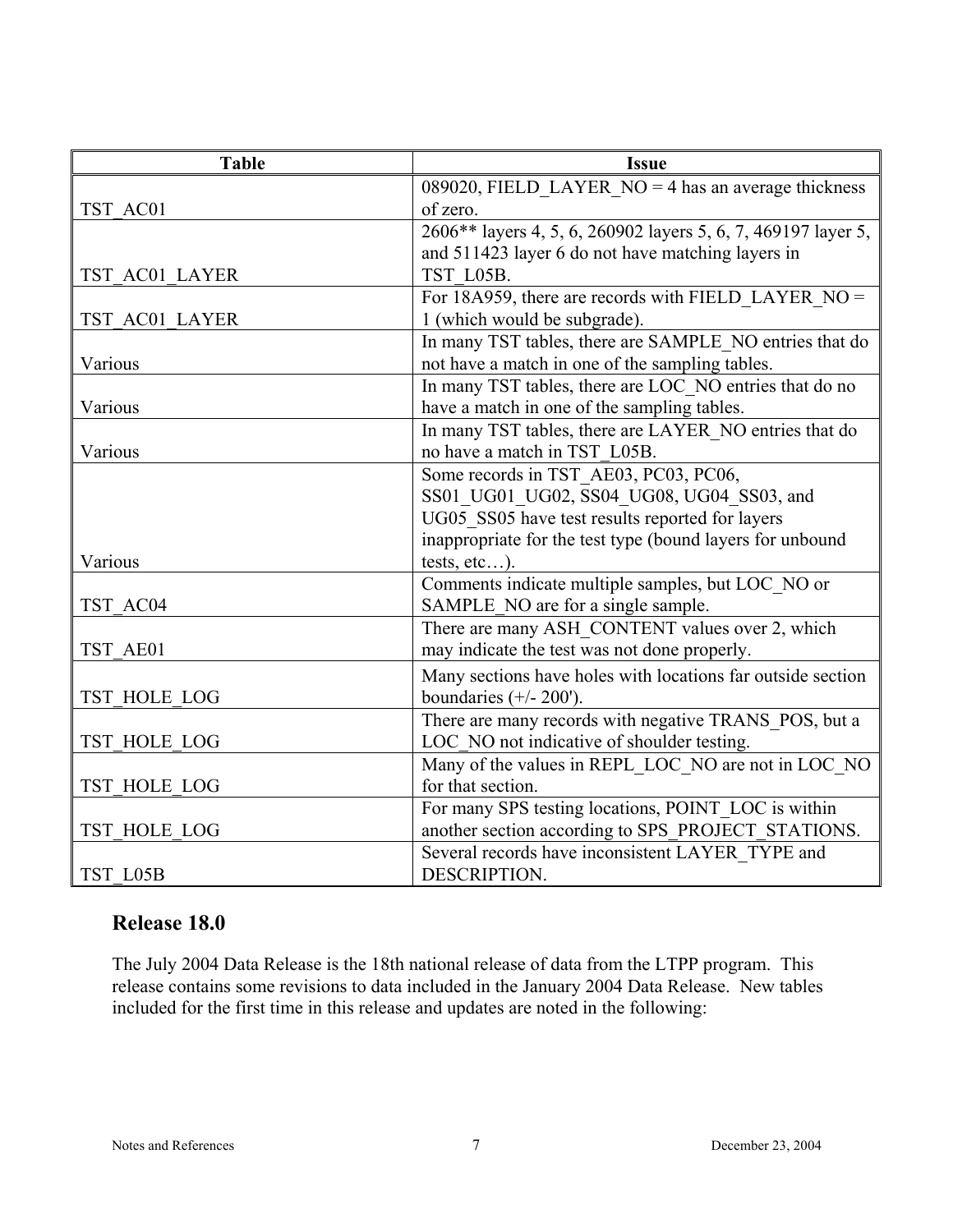| <b>Table</b>   | <b>Issue</b>                                                  |
|----------------|---------------------------------------------------------------|
|                | 089020, FIELD LAYER $NO = 4$ has an average thickness         |
| TST AC01       | of zero.                                                      |
|                | 2606** layers 4, 5, 6, 260902 layers 5, 6, 7, 469197 layer 5, |
|                | and 511423 layer 6 do not have matching layers in             |
| TST AC01 LAYER | TST L05B.                                                     |
|                | For 18A959, there are records with FIELD LAYER $NO =$         |
| TST AC01 LAYER | 1 (which would be subgrade).                                  |
|                | In many TST tables, there are SAMPLE NO entries that do       |
| Various        | not have a match in one of the sampling tables.               |
|                | In many TST tables, there are LOC NO entries that do no       |
| Various        | have a match in one of the sampling tables.                   |
|                | In many TST tables, there are LAYER_NO entries that do        |
| Various        | no have a match in TST L05B.                                  |
|                | Some records in TST AE03, PC03, PC06,                         |
|                | SS01 UG01 UG02, SS04 UG08, UG04 SS03, and                     |
|                | UG05 SS05 have test results reported for layers               |
|                | inappropriate for the test type (bound layers for unbound     |
| Various        | tests, $etc$ ).                                               |
|                | Comments indicate multiple samples, but LOC NO or             |
| TST AC04       | SAMPLE_NO are for a single sample.                            |
|                | There are many ASH CONTENT values over 2, which               |
| TST AE01       | may indicate the test was not done properly.                  |
|                | Many sections have holes with locations far outside section   |
| TST HOLE LOG   | boundaries $(+/- 200')$ .                                     |
|                | There are many records with negative TRANS_POS, but a         |
| TST HOLE LOG   | LOC NO not indicative of shoulder testing.                    |
|                | Many of the values in REPL_LOC_NO are not in LOC_NO           |
| TST HOLE LOG   | for that section.                                             |
|                | For many SPS testing locations, POINT_LOC is within           |
| TST HOLE LOG   | another section according to SPS_PROJECT_STATIONS.            |
|                | Several records have inconsistent LAYER_TYPE and              |
| TST L05B       | DESCRIPTION.                                                  |

## **Release 18.0**

The July 2004 Data Release is the 18th national release of data from the LTPP program. This release contains some revisions to data included in the January 2004 Data Release. New tables included for the first time in this release and updates are noted in the following: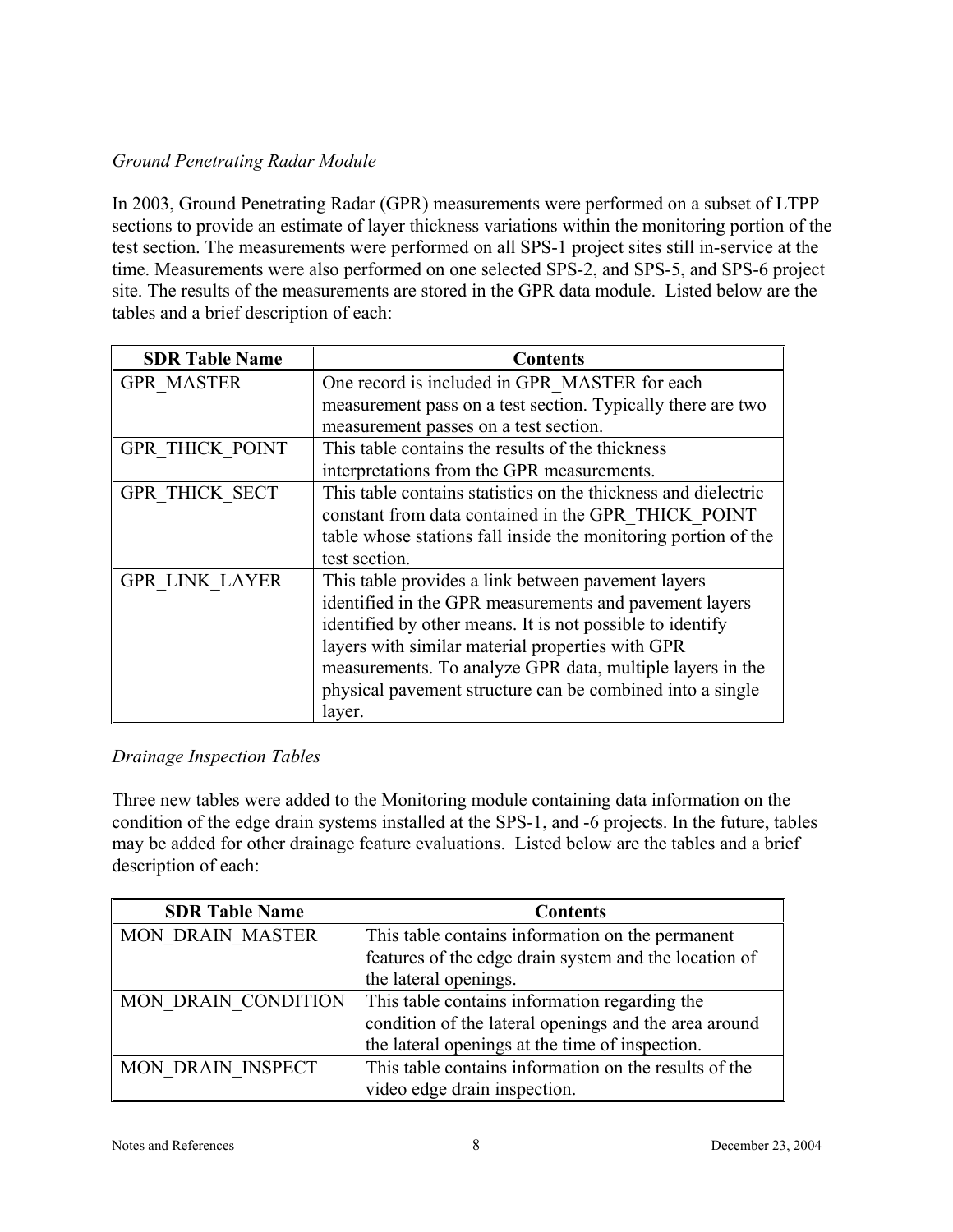#### *Ground Penetrating Radar Module*

In 2003, Ground Penetrating Radar (GPR) measurements were performed on a subset of LTPP sections to provide an estimate of layer thickness variations within the monitoring portion of the test section. The measurements were performed on all SPS-1 project sites still in-service at the time. Measurements were also performed on one selected SPS-2, and SPS-5, and SPS-6 project site. The results of the measurements are stored in the GPR data module. Listed below are the tables and a brief description of each:

| <b>SDR Table Name</b>  | <b>Contents</b>                                                |
|------------------------|----------------------------------------------------------------|
| <b>GPR MASTER</b>      | One record is included in GPR MASTER for each                  |
|                        | measurement pass on a test section. Typically there are two    |
|                        | measurement passes on a test section.                          |
| <b>GPR THICK POINT</b> | This table contains the results of the thickness               |
|                        | interpretations from the GPR measurements.                     |
| <b>GPR THICK SECT</b>  | This table contains statistics on the thickness and dielectric |
|                        | constant from data contained in the GPR THICK POINT            |
|                        | table whose stations fall inside the monitoring portion of the |
|                        | test section.                                                  |
| <b>GPR LINK LAYER</b>  | This table provides a link between pavement layers             |
|                        | identified in the GPR measurements and pavement layers         |
|                        | identified by other means. It is not possible to identify      |
|                        | layers with similar material properties with GPR               |
|                        | measurements. To analyze GPR data, multiple layers in the      |
|                        | physical pavement structure can be combined into a single      |
|                        | layer.                                                         |

#### *Drainage Inspection Tables*

Three new tables were added to the Monitoring module containing data information on the condition of the edge drain systems installed at the SPS-1, and -6 projects. In the future, tables may be added for other drainage feature evaluations. Listed below are the tables and a brief description of each:

| <b>SDR Table Name</b>    | <b>Contents</b>                                       |
|--------------------------|-------------------------------------------------------|
| <b>MON DRAIN MASTER</b>  | This table contains information on the permanent      |
|                          | features of the edge drain system and the location of |
|                          | the lateral openings.                                 |
| MON DRAIN CONDITION      | This table contains information regarding the         |
|                          | condition of the lateral openings and the area around |
|                          | the lateral openings at the time of inspection.       |
| <b>MON DRAIN INSPECT</b> | This table contains information on the results of the |
|                          | video edge drain inspection.                          |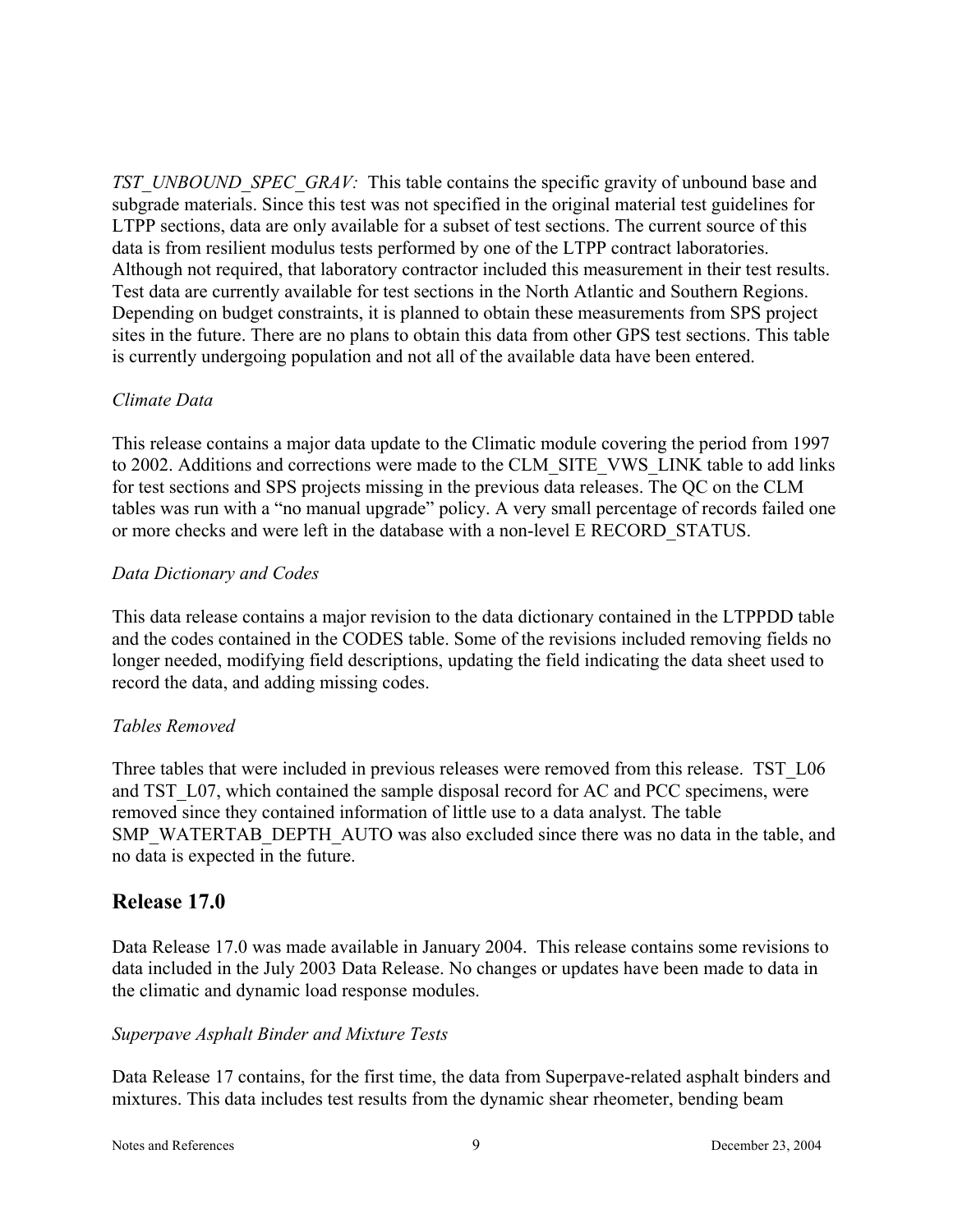*TST\_UNBOUND\_SPEC\_GRAV:* This table contains the specific gravity of unbound base and subgrade materials. Since this test was not specified in the original material test guidelines for LTPP sections, data are only available for a subset of test sections. The current source of this data is from resilient modulus tests performed by one of the LTPP contract laboratories. Although not required, that laboratory contractor included this measurement in their test results. Test data are currently available for test sections in the North Atlantic and Southern Regions. Depending on budget constraints, it is planned to obtain these measurements from SPS project sites in the future. There are no plans to obtain this data from other GPS test sections. This table is currently undergoing population and not all of the available data have been entered.

#### *Climate Data*

This release contains a major data update to the Climatic module covering the period from 1997 to 2002. Additions and corrections were made to the CLM\_SITE\_VWS\_LINK table to add links for test sections and SPS projects missing in the previous data releases. The QC on the CLM tables was run with a "no manual upgrade" policy. A very small percentage of records failed one or more checks and were left in the database with a non-level E RECORD\_STATUS.

#### *Data Dictionary and Codes*

This data release contains a major revision to the data dictionary contained in the LTPPDD table and the codes contained in the CODES table. Some of the revisions included removing fields no longer needed, modifying field descriptions, updating the field indicating the data sheet used to record the data, and adding missing codes.

#### *Tables Removed*

Three tables that were included in previous releases were removed from this release. TST L06 and TST L07, which contained the sample disposal record for AC and PCC specimens, were removed since they contained information of little use to a data analyst. The table SMP\_WATERTAB\_DEPTH\_AUTO was also excluded since there was no data in the table, and no data is expected in the future.

## **Release 17.0**

Data Release 17.0 was made available in January 2004. This release contains some revisions to data included in the July 2003 Data Release. No changes or updates have been made to data in the climatic and dynamic load response modules.

#### *Superpave Asphalt Binder and Mixture Tests*

Data Release 17 contains, for the first time, the data from Superpave-related asphalt binders and mixtures. This data includes test results from the dynamic shear rheometer, bending beam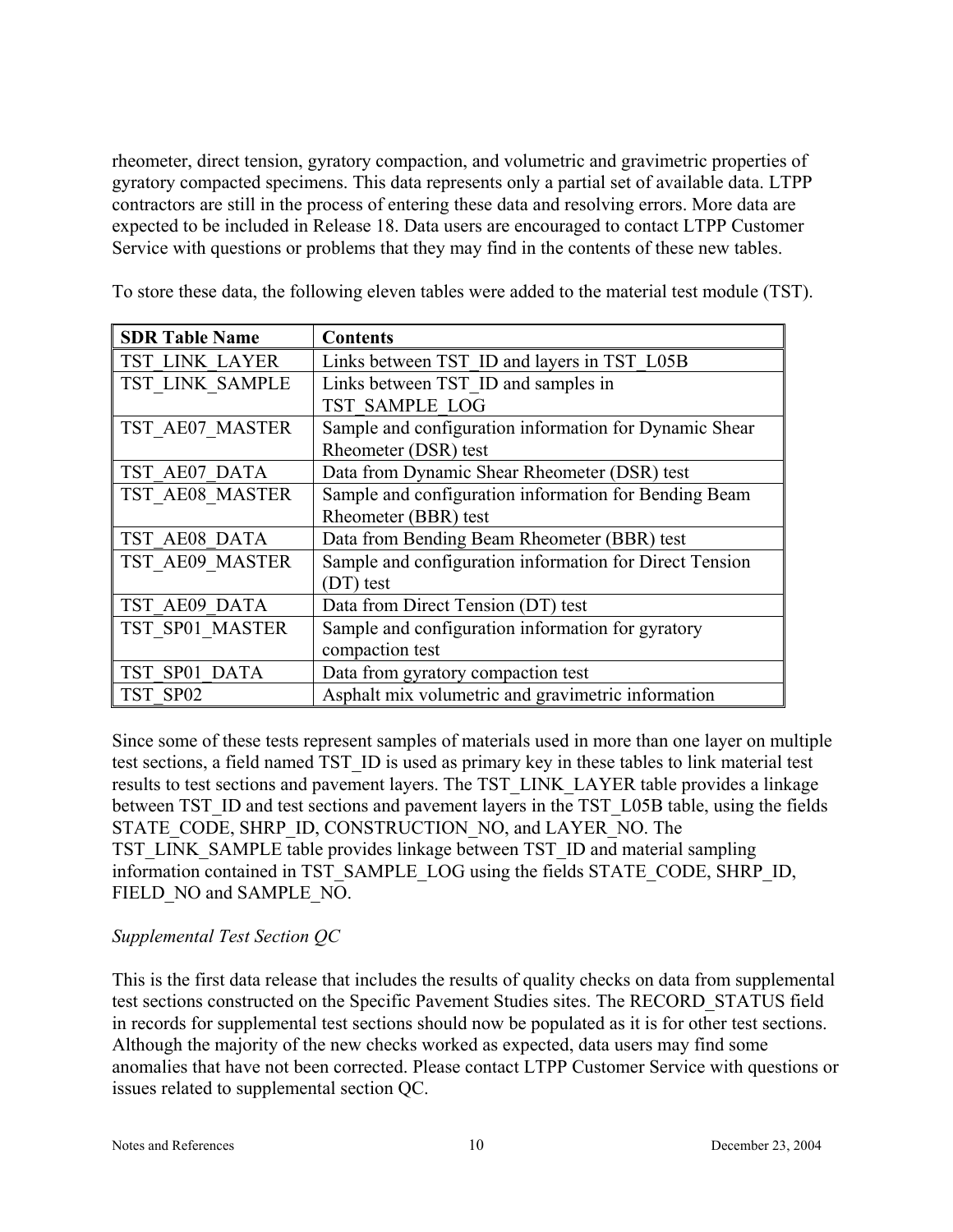rheometer, direct tension, gyratory compaction, and volumetric and gravimetric properties of gyratory compacted specimens. This data represents only a partial set of available data. LTPP contractors are still in the process of entering these data and resolving errors. More data are expected to be included in Release 18. Data users are encouraged to contact LTPP Customer Service with questions or problems that they may find in the contents of these new tables.

To store these data, the following eleven tables were added to the material test module (TST).

| <b>SDR Table Name</b> | <b>Contents</b>                                         |
|-----------------------|---------------------------------------------------------|
| TST LINK LAYER        | Links between TST ID and layers in TST L05B             |
| TST LINK SAMPLE       | Links between TST ID and samples in                     |
|                       | TST SAMPLE LOG                                          |
| TST AE07 MASTER       | Sample and configuration information for Dynamic Shear  |
|                       | Rheometer (DSR) test                                    |
| TST AE07 DATA         | Data from Dynamic Shear Rheometer (DSR) test            |
| TST AE08 MASTER       | Sample and configuration information for Bending Beam   |
|                       | Rheometer (BBR) test                                    |
| TST AE08 DATA         | Data from Bending Beam Rheometer (BBR) test             |
| TST AE09 MASTER       | Sample and configuration information for Direct Tension |
|                       | (DT) test                                               |
| TST AE09 DATA         | Data from Direct Tension (DT) test                      |
| TST SP01 MASTER       | Sample and configuration information for gyratory       |
|                       | compaction test                                         |
| TST SP01 DATA         | Data from gyratory compaction test                      |
| TST SP02              | Asphalt mix volumetric and gravimetric information      |

Since some of these tests represent samples of materials used in more than one layer on multiple test sections, a field named TST\_ID is used as primary key in these tables to link material test results to test sections and pavement layers. The TST\_LINK\_LAYER table provides a linkage between TST\_ID and test sections and pavement layers in the TST\_L05B table, using the fields STATE\_CODE, SHRP\_ID, CONSTRUCTION\_NO, and LAYER\_NO. The TST\_LINK\_SAMPLE table provides linkage between TST\_ID and material sampling information contained in TST\_SAMPLE\_LOG using the fields STATE\_CODE, SHRP\_ID, FIELD\_NO and SAMPLE\_NO.

#### *Supplemental Test Section QC*

This is the first data release that includes the results of quality checks on data from supplemental test sections constructed on the Specific Pavement Studies sites. The RECORD\_STATUS field in records for supplemental test sections should now be populated as it is for other test sections. Although the majority of the new checks worked as expected, data users may find some anomalies that have not been corrected. Please contact LTPP Customer Service with questions or issues related to supplemental section QC.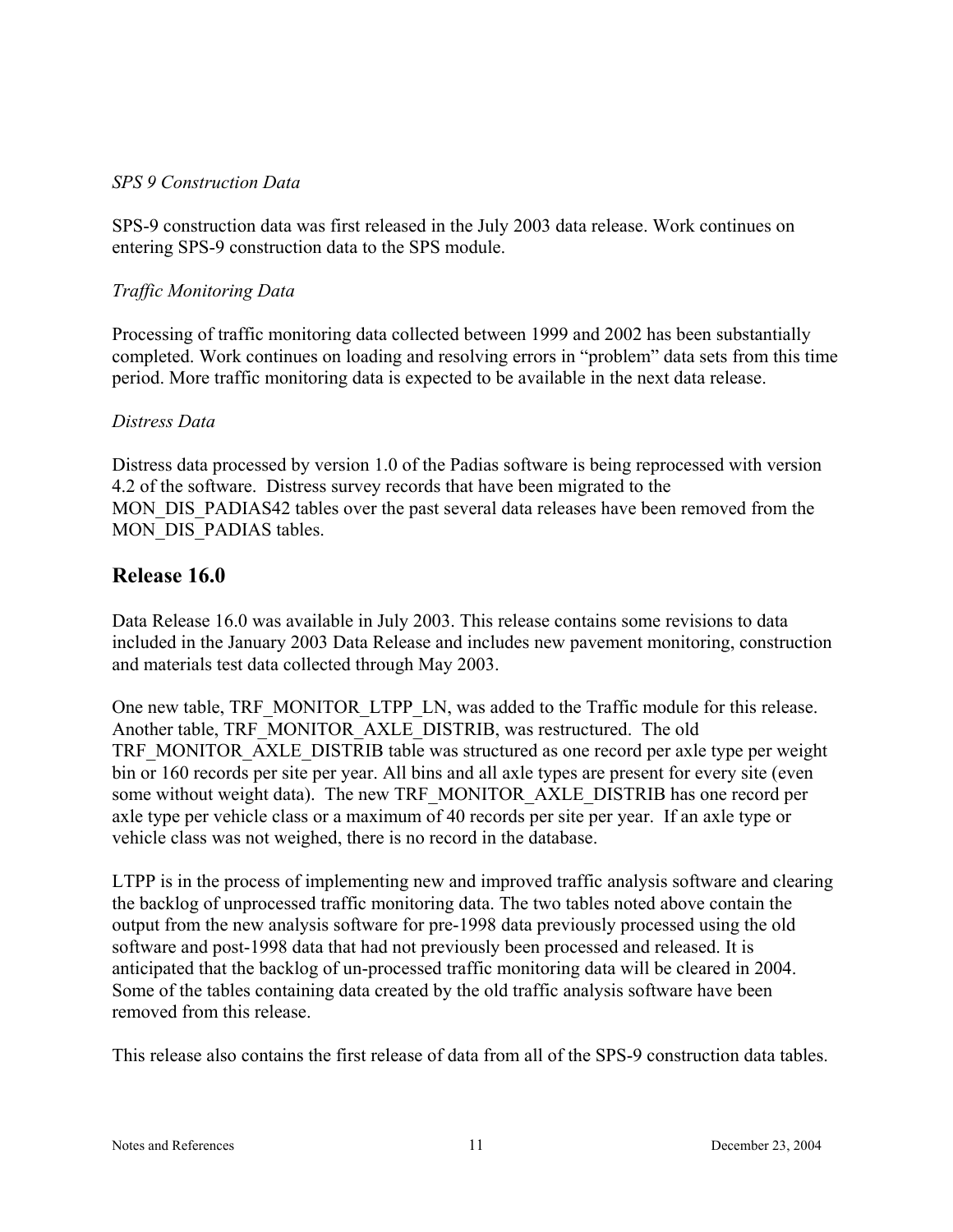#### *SPS 9 Construction Data*

SPS-9 construction data was first released in the July 2003 data release. Work continues on entering SPS-9 construction data to the SPS module.

#### *Traffic Monitoring Data*

Processing of traffic monitoring data collected between 1999 and 2002 has been substantially completed. Work continues on loading and resolving errors in "problem" data sets from this time period. More traffic monitoring data is expected to be available in the next data release.

#### *Distress Data*

Distress data processed by version 1.0 of the Padias software is being reprocessed with version 4.2 of the software. Distress survey records that have been migrated to the MON\_DIS\_PADIAS42 tables over the past several data releases have been removed from the MON DIS PADIAS tables.

## **Release 16.0**

Data Release 16.0 was available in July 2003. This release contains some revisions to data included in the January 2003 Data Release and includes new pavement monitoring, construction and materials test data collected through May 2003.

One new table, TRF\_MONITOR\_LTPP\_LN, was added to the Traffic module for this release. Another table, TRF\_MONITOR\_AXLE\_DISTRIB, was restructured. The old TRF\_MONITOR\_AXLE\_DISTRIB table was structured as one record per axle type per weight bin or 160 records per site per year. All bins and all axle types are present for every site (even some without weight data). The new TRF\_MONITOR\_AXLE\_DISTRIB has one record per axle type per vehicle class or a maximum of 40 records per site per year. If an axle type or vehicle class was not weighed, there is no record in the database.

LTPP is in the process of implementing new and improved traffic analysis software and clearing the backlog of unprocessed traffic monitoring data. The two tables noted above contain the output from the new analysis software for pre-1998 data previously processed using the old software and post-1998 data that had not previously been processed and released. It is anticipated that the backlog of un-processed traffic monitoring data will be cleared in 2004. Some of the tables containing data created by the old traffic analysis software have been removed from this release.

This release also contains the first release of data from all of the SPS-9 construction data tables.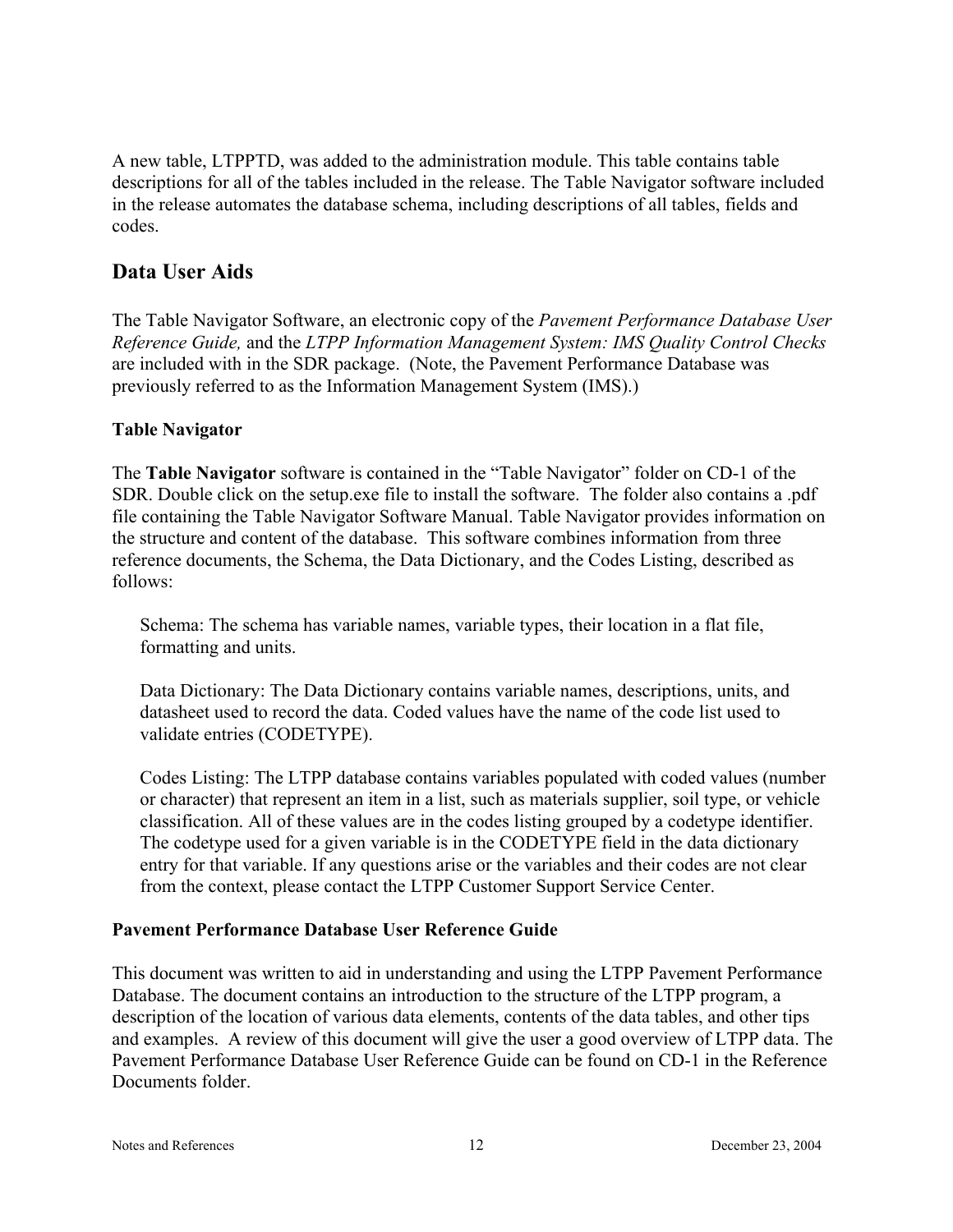A new table, LTPPTD, was added to the administration module. This table contains table descriptions for all of the tables included in the release. The Table Navigator software included in the release automates the database schema, including descriptions of all tables, fields and codes.

## **Data User Aids**

The Table Navigator Software, an electronic copy of the *Pavement Performance Database User Reference Guide,* and the *LTPP Information Management System: IMS Quality Control Checks* are included with in the SDR package. (Note, the Pavement Performance Database was previously referred to as the Information Management System (IMS).)

#### **Table Navigator**

The **Table Navigator** software is contained in the "Table Navigator" folder on CD-1 of the SDR. Double click on the setup.exe file to install the software. The folder also contains a .pdf file containing the Table Navigator Software Manual. Table Navigator provides information on the structure and content of the database. This software combines information from three reference documents, the Schema, the Data Dictionary, and the Codes Listing, described as follows:

Schema: The schema has variable names, variable types, their location in a flat file, formatting and units.

Data Dictionary: The Data Dictionary contains variable names, descriptions, units, and datasheet used to record the data. Coded values have the name of the code list used to validate entries (CODETYPE).

Codes Listing: The LTPP database contains variables populated with coded values (number or character) that represent an item in a list, such as materials supplier, soil type, or vehicle classification. All of these values are in the codes listing grouped by a codetype identifier. The codetype used for a given variable is in the CODETYPE field in the data dictionary entry for that variable. If any questions arise or the variables and their codes are not clear from the context, please contact the LTPP Customer Support Service Center.

#### **Pavement Performance Database User Reference Guide**

This document was written to aid in understanding and using the LTPP Pavement Performance Database. The document contains an introduction to the structure of the LTPP program, a description of the location of various data elements, contents of the data tables, and other tips and examples. A review of this document will give the user a good overview of LTPP data. The Pavement Performance Database User Reference Guide can be found on CD-1 in the Reference Documents folder.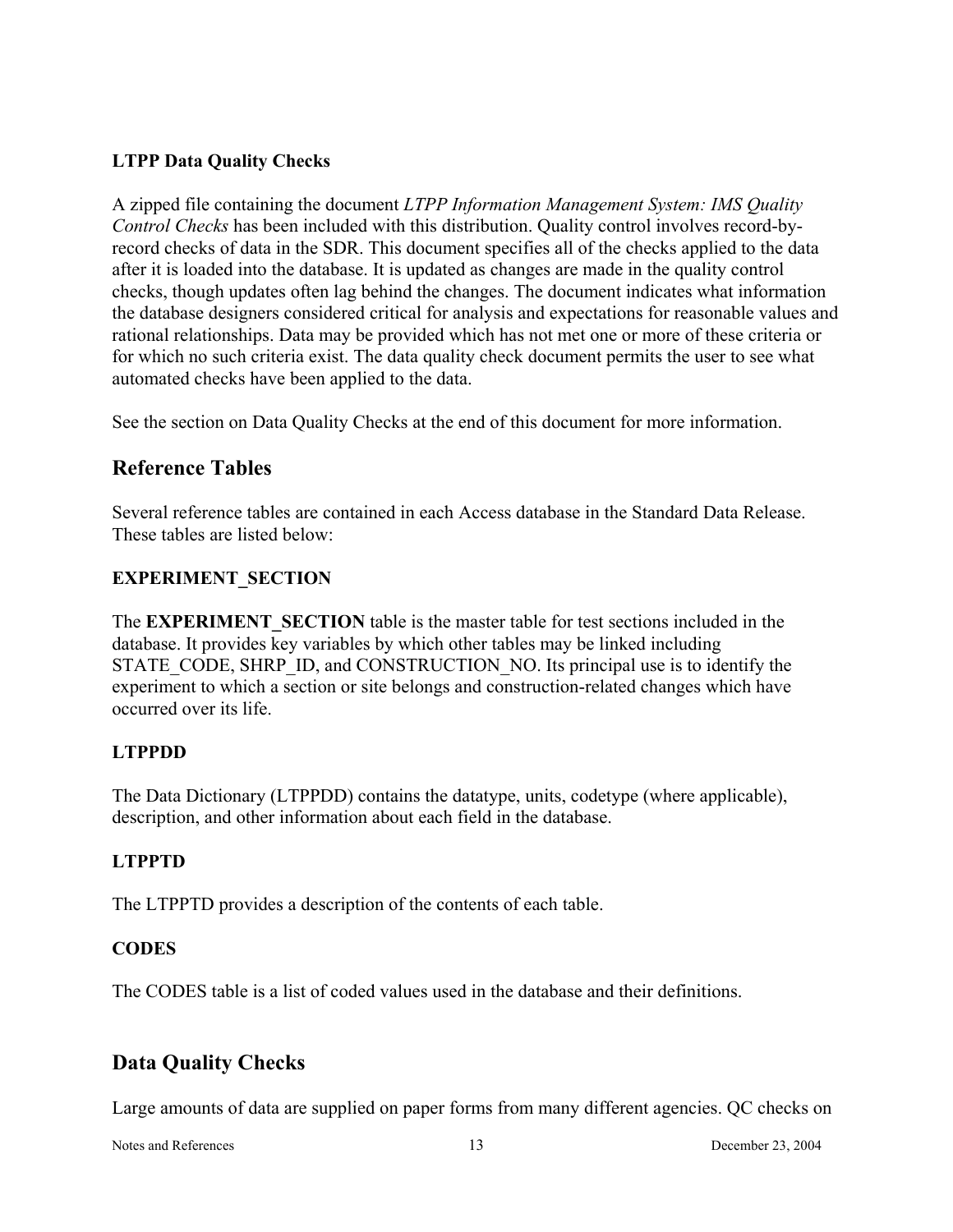#### **LTPP Data Quality Checks**

A zipped file containing the document *LTPP Information Management System: IMS Quality Control Checks* has been included with this distribution. Quality control involves record-byrecord checks of data in the SDR. This document specifies all of the checks applied to the data after it is loaded into the database. It is updated as changes are made in the quality control checks, though updates often lag behind the changes. The document indicates what information the database designers considered critical for analysis and expectations for reasonable values and rational relationships. Data may be provided which has not met one or more of these criteria or for which no such criteria exist. The data quality check document permits the user to see what automated checks have been applied to the data.

See the section on Data Quality Checks at the end of this document for more information.

## **Reference Tables**

Several reference tables are contained in each Access database in the Standard Data Release. These tables are listed below:

## **EXPERIMENT\_SECTION**

The **EXPERIMENT** SECTION table is the master table for test sections included in the database. It provides key variables by which other tables may be linked including STATE\_CODE, SHRP\_ID, and CONSTRUCTION\_NO. Its principal use is to identify the experiment to which a section or site belongs and construction-related changes which have occurred over its life.

## **LTPPDD**

The Data Dictionary (LTPPDD) contains the datatype, units, codetype (where applicable), description, and other information about each field in the database.

#### **LTPPTD**

The LTPPTD provides a description of the contents of each table.

## **CODES**

The CODES table is a list of coded values used in the database and their definitions.

## **Data Quality Checks**

Large amounts of data are supplied on paper forms from many different agencies. QC checks on

Notes and References 13 December 23, 2004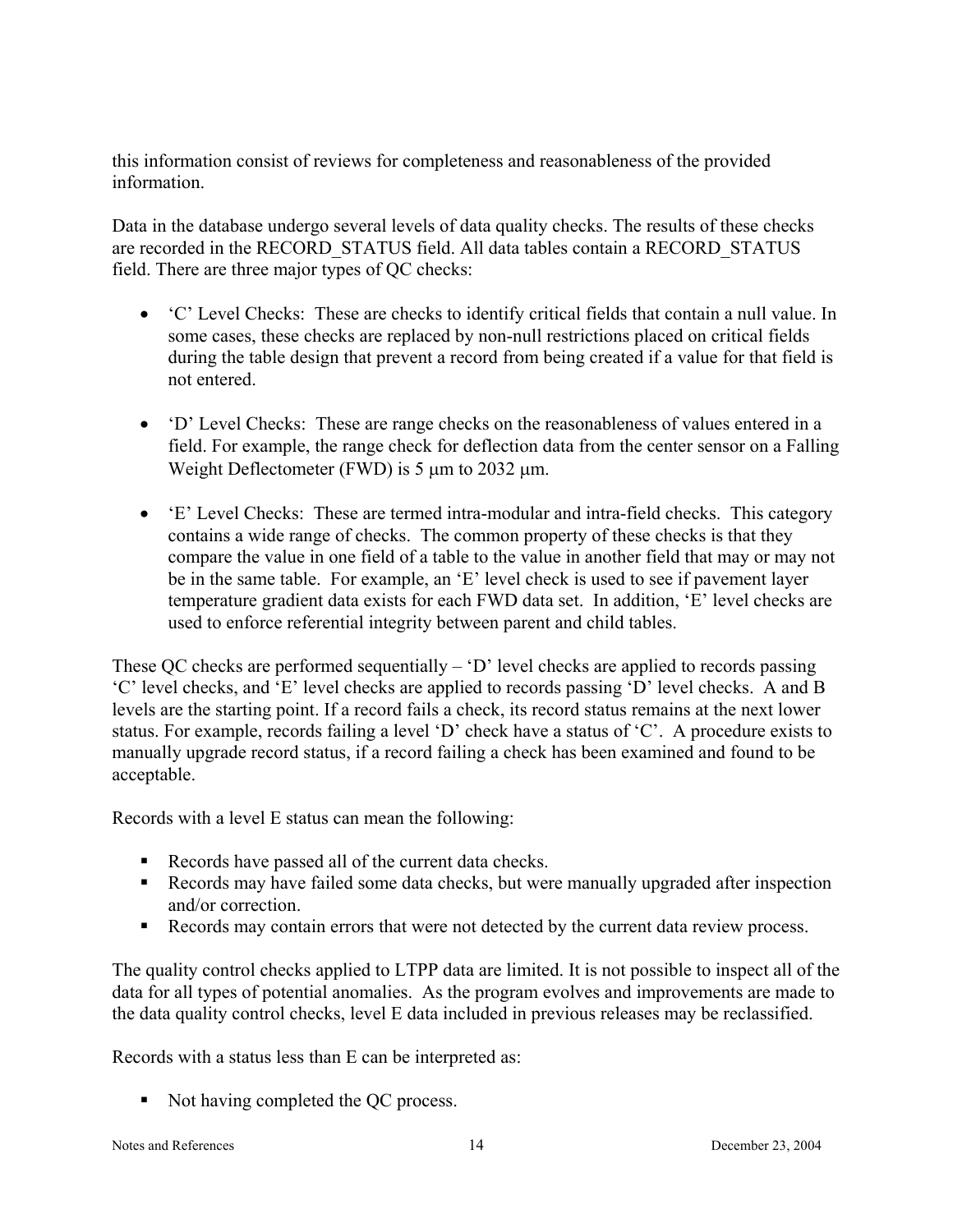this information consist of reviews for completeness and reasonableness of the provided information.

Data in the database undergo several levels of data quality checks. The results of these checks are recorded in the RECORD\_STATUS field. All data tables contain a RECORD\_STATUS field. There are three major types of QC checks:

- 'C' Level Checks: These are checks to identify critical fields that contain a null value. In some cases, these checks are replaced by non-null restrictions placed on critical fields during the table design that prevent a record from being created if a value for that field is not entered.
- 'D' Level Checks: These are range checks on the reasonableness of values entered in a field. For example, the range check for deflection data from the center sensor on a Falling Weight Deflectometer (FWD) is  $5 \mu m$  to 2032  $\mu m$ .
- 'E' Level Checks: These are termed intra-modular and intra-field checks. This category contains a wide range of checks. The common property of these checks is that they compare the value in one field of a table to the value in another field that may or may not be in the same table. For example, an 'E' level check is used to see if pavement layer temperature gradient data exists for each FWD data set. In addition, 'E' level checks are used to enforce referential integrity between parent and child tables.

These QC checks are performed sequentially – 'D' level checks are applied to records passing 'C' level checks, and 'E' level checks are applied to records passing 'D' level checks. A and B levels are the starting point. If a record fails a check, its record status remains at the next lower status. For example, records failing a level 'D' check have a status of 'C'. A procedure exists to manually upgrade record status, if a record failing a check has been examined and found to be acceptable.

Records with a level E status can mean the following:

- Records have passed all of the current data checks.
- Records may have failed some data checks, but were manually upgraded after inspection and/or correction.
- Records may contain errors that were not detected by the current data review process.

The quality control checks applied to LTPP data are limited. It is not possible to inspect all of the data for all types of potential anomalies. As the program evolves and improvements are made to the data quality control checks, level E data included in previous releases may be reclassified.

Records with a status less than E can be interpreted as:

Not having completed the QC process.